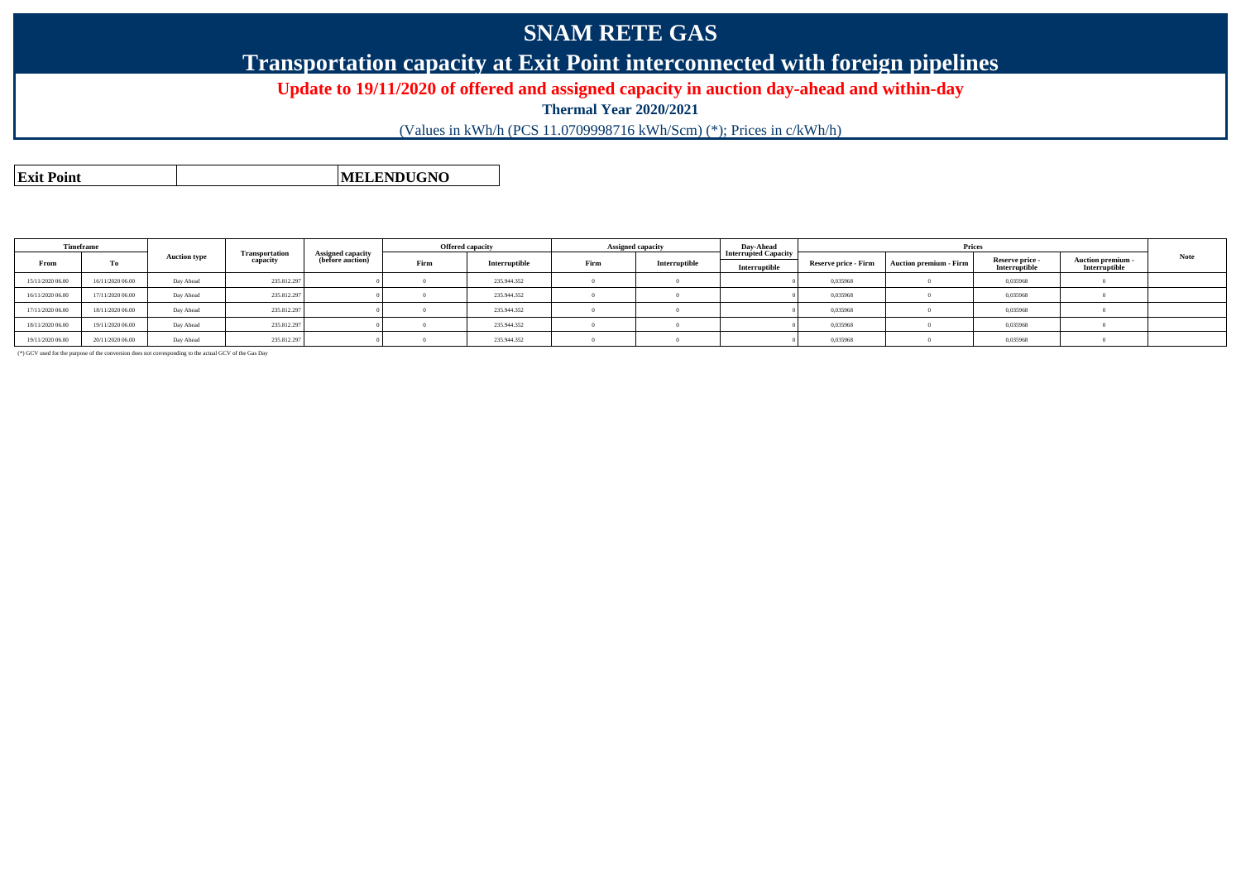## **SNAM RETE GAS**

### **Transportation capacity at Exit Point interconnected with foreign pipelines**

#### **Update to 19/11/2020 of offered and assigned capacity in auction day-ahead and within-day**

**Thermal Year 2020/2021**

(Values in kWh/h (PCS 11.0709998716 kWh/Scm) (\*); Prices in c/kWh/h)

**Exit PointMELENDUGNO**

| Timeframe        |                  |                     |                                   |                                              | <b>Offered capacity</b> |               | Assigned capacity |               | Dav-Ahead                                    | Prices               |                        |                                  |                                         |      |
|------------------|------------------|---------------------|-----------------------------------|----------------------------------------------|-------------------------|---------------|-------------------|---------------|----------------------------------------------|----------------------|------------------------|----------------------------------|-----------------------------------------|------|
| From             | Тo               | <b>Auction type</b> | <b>Transportation</b><br>capacity | <b>Assigned capacity</b><br>(before auction) | Firm                    | Interruptible | Firm              | Interruptible | <b>Interrupted Capacity</b><br>Interruptible | Reserve price - Firm | Auction premium - Firm | Reserve price -<br>Interruptible | <b>Auction premium</b><br>Interruptible | Note |
| 15/11/2020 06:00 | 16/11/2020 06.00 | Day Ahead           | 235.812.297                       |                                              |                         | 235.944.352   |                   |               |                                              | 0,035968             |                        | 0,035968                         |                                         |      |
| 16/11/2020 06:00 | 17/11/2020 06:00 | Day Ahead           | 235.812.297                       |                                              |                         | 235.944.352   |                   |               |                                              | 0.035968             |                        | 0,035968                         |                                         |      |
| 17/11/2020 06:00 | 18/11/2020 06:00 | Day Ahead           | 235.812.297                       |                                              |                         | 235.944.352   |                   |               |                                              | 0,035968             |                        | 0,035968                         |                                         |      |
| 18/11/2020 06:00 | 19/11/2020 06:00 | Day Ahead           | 235.812.297                       |                                              |                         | 235.944.352   |                   |               |                                              | 0.035968             |                        | 0,035968                         |                                         |      |
| 19/11/2020 06:00 | 20/11/2020 06:00 | Day Ahead           | 235.812.297                       |                                              |                         | 235.944.352   |                   |               |                                              | 0,035968             |                        | 0,035968                         |                                         |      |

(\*) GCV used for the purpose of the conversion does not corresponding to the actual GCV of the Gas Day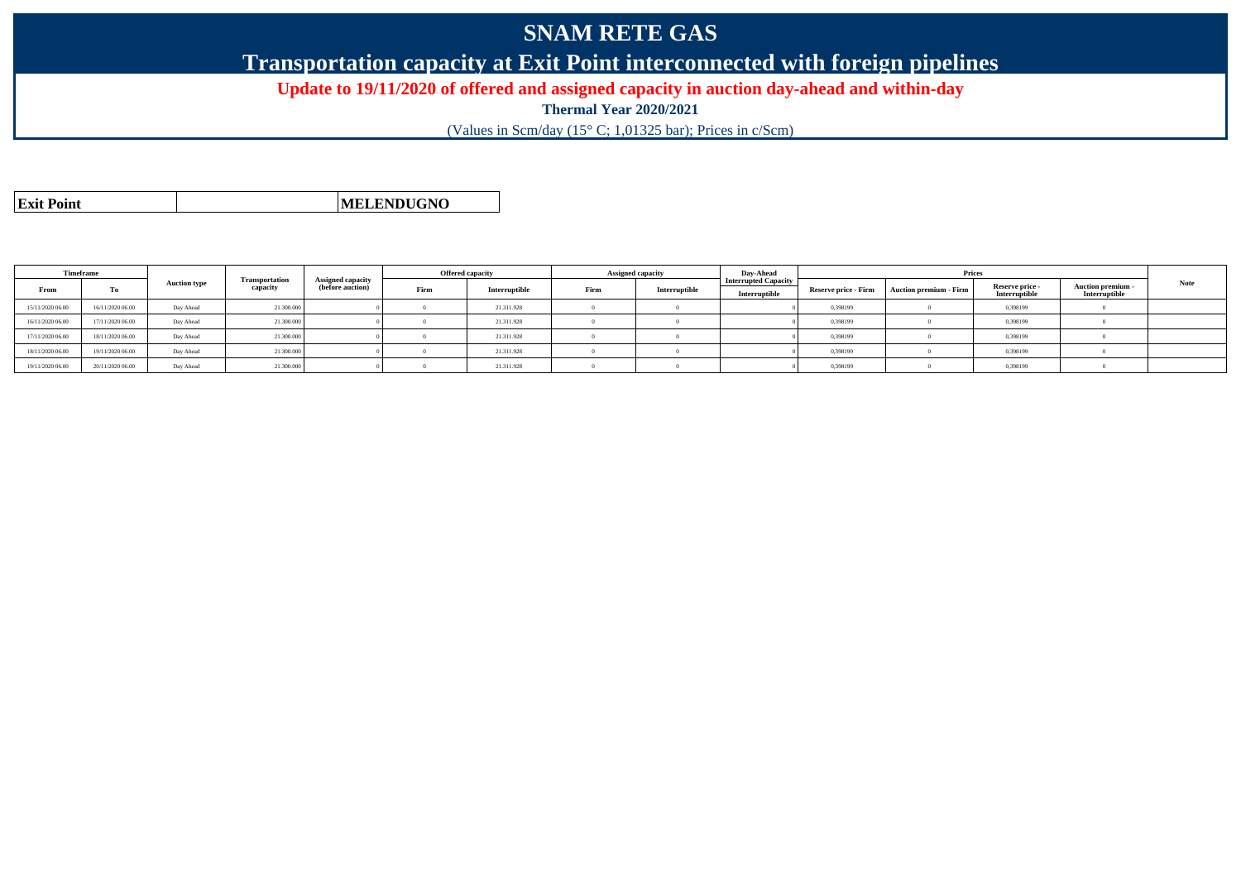# **SNAM RETE GAS**

**Transportation capacity at Exit Point interconnected with foreign pipelines**

**Update to 19/11/2020 of offered and assigned capacity in auction day-ahead and within-day**

**Thermal Year 2020/2021**

(Values in Scm/day (15° C; 1,01325 bar); Prices in c/Scm)

**Exit PointMELENDUGNO**

**TimeframeFromm** | To **Auction type Transportation capacity Assigned capacity (before auction) Offered capacityFirm Interruptible Assigned capacityFirm Interruptible Day-Ahead Interrupted CapacityInterruptiblePricesReserve price - Firm Auction premium - Firm Reserve price - Interruptible Auction premium - Interruptible Note** 15/11/2020 06.000 | 16/11/2020 06.00 | Day Ahead | 21.310.000 | 0 | 0 | 21.311.928 | 0 | 0 | 0.998199 | 0 | 0,398199 | 0 0,398199 16/11/2020 06.000 | 17/11/2020 | Day Ahead | 21.300.000 | 0 | 0 | 21.311.928 | 0 | 0 | 0.398199 | 0 | 0,398199 | 0 17/11/2020 06.000 | 18/11/2020 06.00 | Day Ahead | 21.300.000 | 0 | 0 | 21.311.928 | 0 | 0 | 0 | 0,398199 | 0 | 0,398199 | 0 18/11/2020 06.000 | 19/11/2020 06.00 | Day Ahead | 21.310.000 | 0 | 0 | 21.311.928 | 0 | 0 | 0.398199 | 0 | 0,398199 | 0 0,398199 19/11/2020 06.000 | 20/11/2020 06.00 | Day Ahead | 21.310.000 | 0 | 0 | 21.311.928 | 0 | 0 | 0,398199 | 0 | 0,398199 | 0 0,398199 |